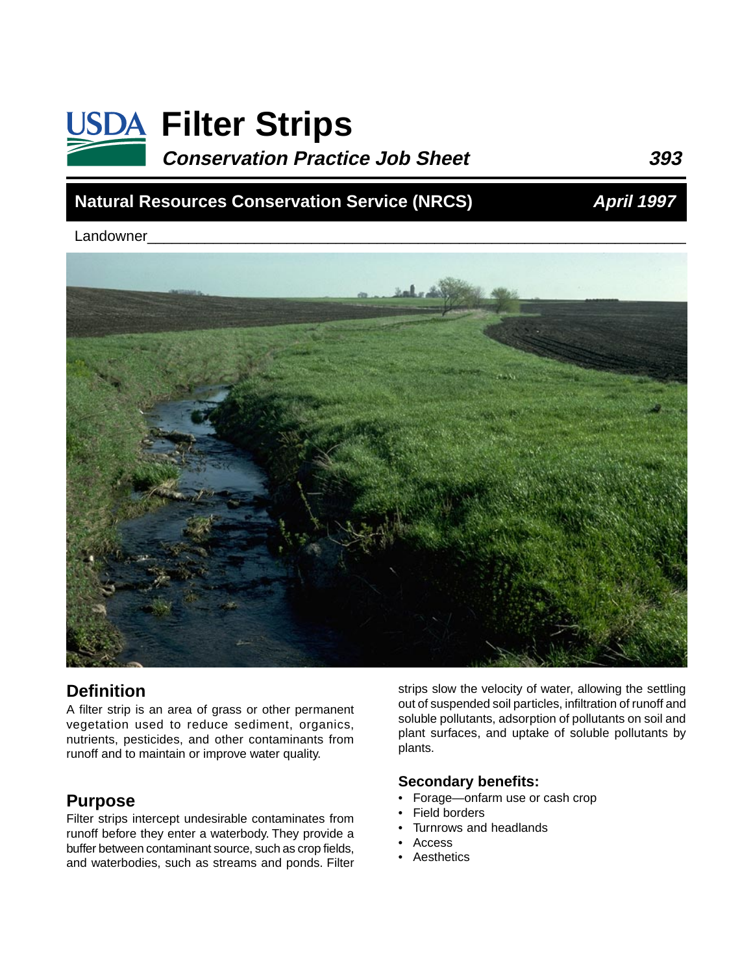# **USDA Filter Strips Conservation Practice Job Sheet 393**

## **Natural Resources Conservation Service (NRCS)**

**April 1997**

Landowner



#### **Definition**

A filter strip is an area of grass or other permanent vegetation used to reduce sediment, organics, nutrients, pesticides, and other contaminants from runoff and to maintain or improve water quality.

#### **Purpose**

Filter strips intercept undesirable contaminates from runoff before they enter a waterbody. They provide a buffer between contaminant source, such as crop fields, and waterbodies, such as streams and ponds. Filter

strips slow the velocity of water, allowing the settling out of suspended soil particles, infiltration of runoff and soluble pollutants, adsorption of pollutants on soil and plant surfaces, and uptake of soluble pollutants by plants.

#### **Secondary benefits:**

- Forage—onfarm use or cash crop
- Field borders
	- Turnrows and headlands
- Access
- **Aesthetics**